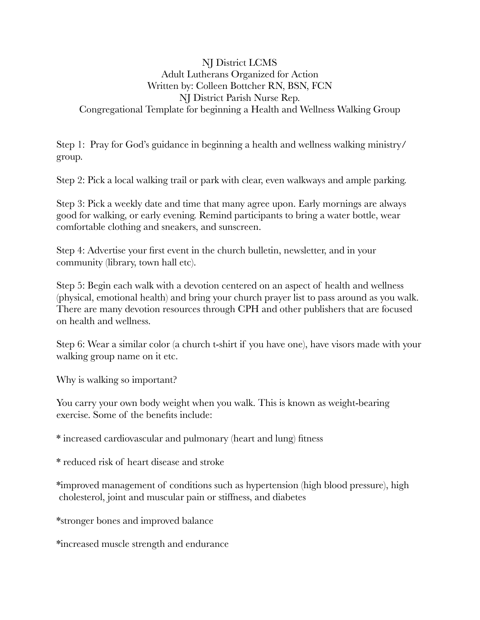#### NJ District LCMS Adult Lutherans Organized for Action Written by: Colleen Bottcher RN, BSN, FCN NJ District Parish Nurse Rep. Congregational Template for beginning a Health and Wellness Walking Group

Step 1: Pray for God's guidance in beginning a health and wellness walking ministry/ group.

Step 2: Pick a local walking trail or park with clear, even walkways and ample parking.

Step 3: Pick a weekly date and time that many agree upon. Early mornings are always good for walking, or early evening. Remind participants to bring a water bottle, wear comfortable clothing and sneakers, and sunscreen.

Step 4: Advertise your first event in the church bulletin, newsletter, and in your community (library, town hall etc).

Step 5: Begin each walk with a devotion centered on an aspect of health and wellness (physical, emotional health) and bring your church prayer list to pass around as you walk. There are many devotion resources through CPH and other publishers that are focused on health and wellness.

Step 6: Wear a similar color (a church t-shirt if you have one), have visors made with your walking group name on it etc.

Why is walking so important?

You carry your own body weight when you walk. This is known as weight-bearing exercise. Some of the benefits include:

\* increased cardiovascular and pulmonary (heart and lung) fitness

\* reduced risk of heart disease and stroke

\*improved management of conditions such as hypertension (high blood pressure), high cholesterol, joint and muscular pain or stiffness, and diabetes

\*stronger bones and improved balance

\*increased muscle strength and endurance